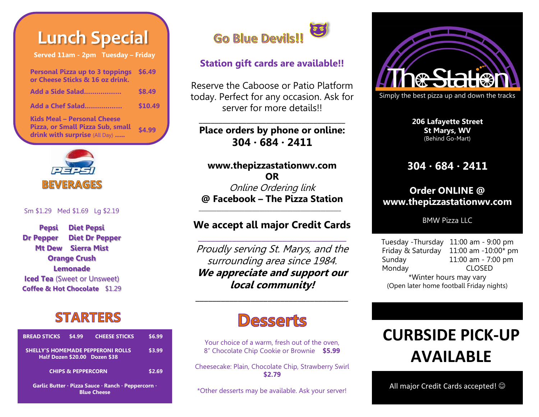# **Lunch Special**

**Served 11am - 2pm Tuesday – Friday**

| <b>Personal Pizza up to 3 toppings</b><br>or Cheese Sticks & 16 oz drink.                        | \$6.49  |
|--------------------------------------------------------------------------------------------------|---------|
| Add a Side Salad                                                                                 | \$8.49  |
| Add a Chef Salad                                                                                 | \$10.49 |
| Kids Meal – Personal Cheese<br>Pizza, or Small Pizza Sub, small<br>drink with surprise (All Day) | \$4.99  |



#### Sm \$1.29 Med \$1.69 Lg \$2.19

**Pepsi Diet Pepsi Dr Pepper Diet Dr Pepper Mt Dew Sierra Mist Orange Crush Lemonade Iced Tea** (Sweet or Unsweet) **Coffee & Hot Chocolate** \$1.29

### **STARTERS**

| <b>BREAD STICKS</b>                                                      | \$4.99                        | <b>CHEESE STICKS</b>                                                      | \$6.99 |
|--------------------------------------------------------------------------|-------------------------------|---------------------------------------------------------------------------|--------|
|                                                                          |                               | <b>SHELLY'S HOMEMADE PEPPERONI ROLLS</b><br>Half Dozen \$20.00 Dozen \$38 | \$3.99 |
|                                                                          | <b>CHIPS &amp; PEPPERCORN</b> |                                                                           | \$2.69 |
| Garlic Butter · Pizza Sauce · Ranch · Peppercorn ·<br><b>Blue Cheese</b> |                               |                                                                           |        |



#### **Station gift cards are available!!**

Reserve the Caboose or Patio Platform today. Perfect for any occasion. Ask for server for more details!!

#### **Place orders by phone or online: 304 ∙ 684 ∙ 2411**

**\_\_\_\_\_\_\_\_\_\_\_\_\_\_\_\_\_\_\_\_\_\_\_\_\_\_\_\_\_\_\_\_\_\_\_\_\_**

**www.thepizzastationwv.com OR** Online Ordering link **@ Facebook – The Pizza Station**

#### **We accept all major Credit Cards \_\_\_\_\_\_\_\_\_\_\_\_\_\_\_\_\_\_\_\_\_\_\_\_\_\_\_\_\_\_\_\_\_\_\_**

\_\_\_\_\_\_\_\_\_\_\_\_\_\_\_\_\_\_\_\_\_\_\_\_\_\_\_\_\_\_\_\_\_\_\_\_\_\_\_\_\_\_\_\_\_\_\_\_\_\_\_\_\_\_\_\_

Proudly serving St. Marys, and the surrounding area since 1984. **We appreciate and support our local community!** 

## **Desserts**

**\_\_\_\_\_\_\_\_\_\_\_\_\_\_\_\_\_\_\_\_\_\_\_\_\_\_\_\_\_\_\_\_\_\_\_\_**

Your choice of a warm, fresh out of the oven, 8" Chocolate Chip Cookie or Brownie **\$5.99** 

Cheesecake: Plain, Chocolate Chip, Strawberry Swirl **\$2.79**

\*Other desserts may be available. Ask your server!



**206 Lafayette Street St Marys, WV** (Behind Go-Mart)

#### **304 ∙ 684 ∙ 2411**

#### **Order ONLINE @ www.thepizzastationwv.com**

BMW Pizza LLC

Tuesday -Thursday 11:00 am - 9:00 pm Friday & Saturday 11:00 am -10:00\* pm Sunday 11:00 am - 7:00 pm Monday CLOSED \*Winter hours may vary (Open later home football Friday nights)

## **CURBSIDE PICK-UP AVAILABLE**

All major Credit Cards accepted!  $\odot$